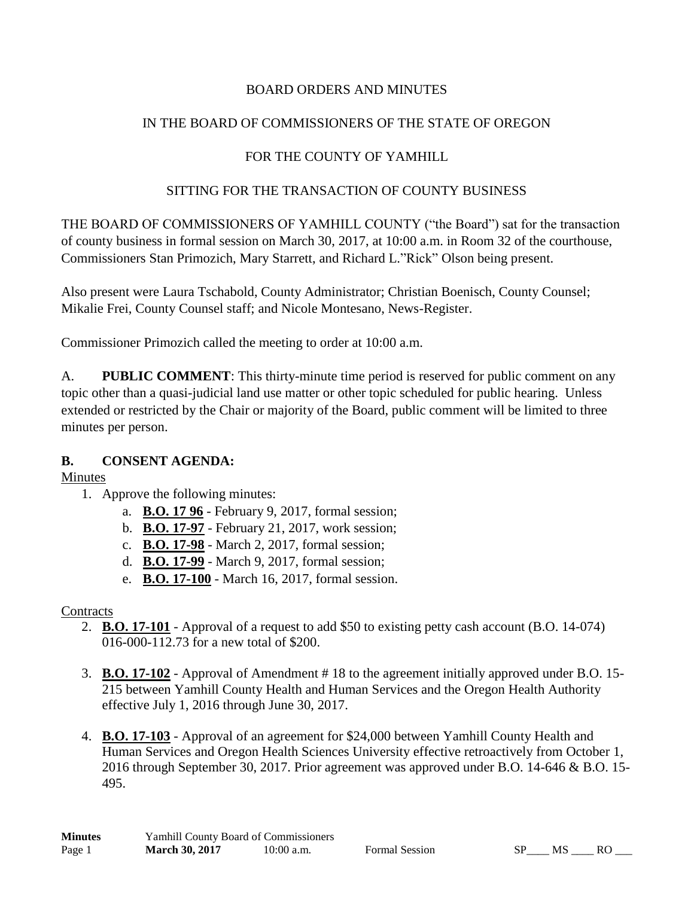## BOARD ORDERS AND MINUTES

# IN THE BOARD OF COMMISSIONERS OF THE STATE OF OREGON

# FOR THE COUNTY OF YAMHILL

#### SITTING FOR THE TRANSACTION OF COUNTY BUSINESS

THE BOARD OF COMMISSIONERS OF YAMHILL COUNTY ("the Board") sat for the transaction of county business in formal session on March 30, 2017, at 10:00 a.m. in Room 32 of the courthouse, Commissioners Stan Primozich, Mary Starrett, and Richard L."Rick" Olson being present.

Also present were Laura Tschabold, County Administrator; Christian Boenisch, County Counsel; Mikalie Frei, County Counsel staff; and Nicole Montesano, News-Register.

Commissioner Primozich called the meeting to order at 10:00 a.m.

A. **PUBLIC COMMENT**: This thirty-minute time period is reserved for public comment on any topic other than a quasi-judicial land use matter or other topic scheduled for public hearing. Unless extended or restricted by the Chair or majority of the Board, public comment will be limited to three minutes per person.

# **B. CONSENT AGENDA:**

Minutes

- 1. Approve the following minutes:
	- a. **B.O. 17 96** February 9, 2017, formal session;
	- b. **B.O. 17-97** February 21, 2017, work session;
	- c. **B.O. 17-98** March 2, 2017, formal session;
	- d. **B.O. 17-99** March 9, 2017, formal session;
	- e. **B.O. 17-100** March 16, 2017, formal session.

#### **Contracts**

- 2. **B.O. 17-101** Approval of a request to add \$50 to existing petty cash account (B.O. 14-074) 016-000-112.73 for a new total of \$200.
- 3. **B.O. 17-102** Approval of Amendment # 18 to the agreement initially approved under B.O. 15- 215 between Yamhill County Health and Human Services and the Oregon Health Authority effective July 1, 2016 through June 30, 2017.
- 4. **B.O. 17-103** Approval of an agreement for \$24,000 between Yamhill County Health and Human Services and Oregon Health Sciences University effective retroactively from October 1, 2016 through September 30, 2017. Prior agreement was approved under B.O. 14-646 & B.O. 15- 495.